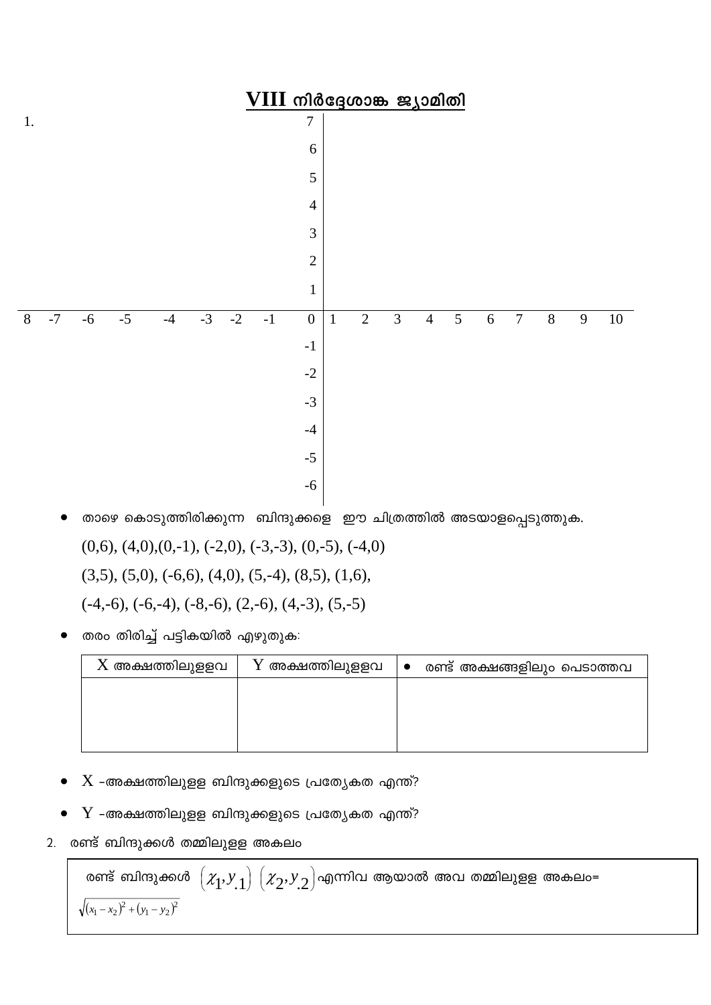

- താഴെ കൊടുത്തിരിക്കുന്ന ബിന്ദുക്കളെ ഈ ചിത്രത്തിൽ അടയാളപ്പെടുത്തുക.  $(0,6)$ ,  $(4,0)$ ,  $(0,-1)$ ,  $(-2,0)$ ,  $(-3,-3)$ ,  $(0,-5)$ ,  $(-4,0)$  $(3,5)$ ,  $(5,0)$ ,  $(-6,6)$ ,  $(4,0)$ ,  $(5,-4)$ ,  $(8,5)$ ,  $(1,6)$ ,  $(-4,-6)$ ,  $(-6,-4)$ ,  $(-8,-6)$ ,  $(2,-6)$ ,  $(4,-3)$ ,  $(5,-5)$
- തരം തിരിച്ച് പട്ടികയിൽ എഴുതുക:

| $X$ അക്ഷത്തിലുളളവ | $\rm Y$ അക്ഷത്തിലുളളവ | $\bullet$ | രണ്ട് അക്ഷങ്ങളിലും പെടാത്തവ |
|-------------------|-----------------------|-----------|-----------------------------|
|                   |                       |           |                             |
|                   |                       |           |                             |
|                   |                       |           |                             |
|                   |                       |           |                             |

- $X$  -അക്ഷത്തിലുളള ബിന്ദുക്കളുടെ പ്രത്യേകത എന്ത്?
- $Y$  -അക്ഷത്തിലുളള ബിന്ദുക്കളുടെ പ്രത്യേകത എന്ത്?
- രണ്ട് ബിന്ദുക്കൾ തമ്മിലുളള അകലം  $2.$

രണ്ട് ബിന്ദുക്കൾ  $\left(\mathcal{X}_1,\mathcal{Y}_{.1}\right) \left(\mathcal{X}_2,\mathcal{Y}_{.2}\right)$ എന്നിവ ആയാൽ അവ തമ്മിലുളള അകലം=  $\sqrt{(x_1-x_2)^2+(y_1-y_2)^2}$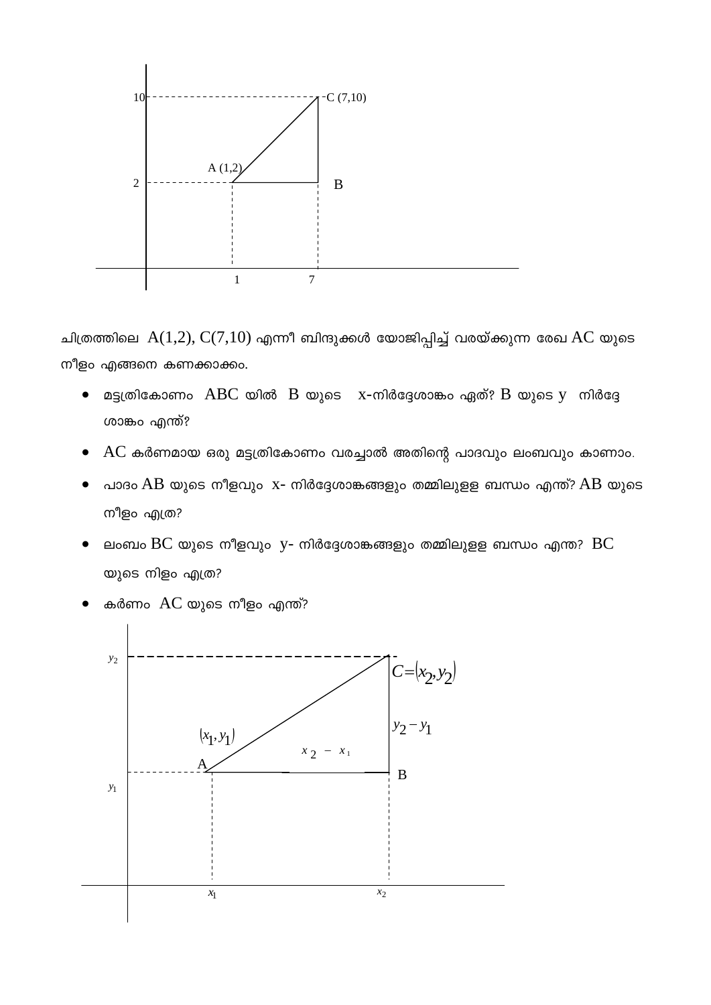

ചിത്രത്തിലെ  $A(1,2), C(7,10)$  എന്നീ ബിന്ദുക്കൾ യോജിപ്പിച്ച് വരയ്ക്കുന്ന രേഖ AC യുടെ നീളം എങ്ങനെ കണക്കാക്കം.

- മട്ടത്രികോണം ABC യിൽ B യുടെ  $x$ -നിർദ്ദേശാങ്കം ഏത്? B യുടെ y നിർദ്ദേ  $\bullet$ ശാങ്കം എന്ത്?
- $AC$  കർണമായ ഒരു മട്ടത്രികോണം വരച്ചാൽ അതിന്റെ പാദവും ലംബവും കാണാം.
- പാദം  $AB$  യുടെ നീളവും  $x$  നിർദ്ദേശാങ്കങ്ങളും തമ്മിലുളള ബന്ധം എന്ത്?  $AB$  യുടെ നീളം എത്ര?
- ലംബം  $BC$  യുടെ നീളവും y- നിർദ്ദേശാങ്കങ്ങളും തമ്മിലുളള ബന്ധം എന്ത?  $BC$ യുടെ നിളം എത്ര?
- കർണം  $AC$  യുടെ നീളം എന്ത്?

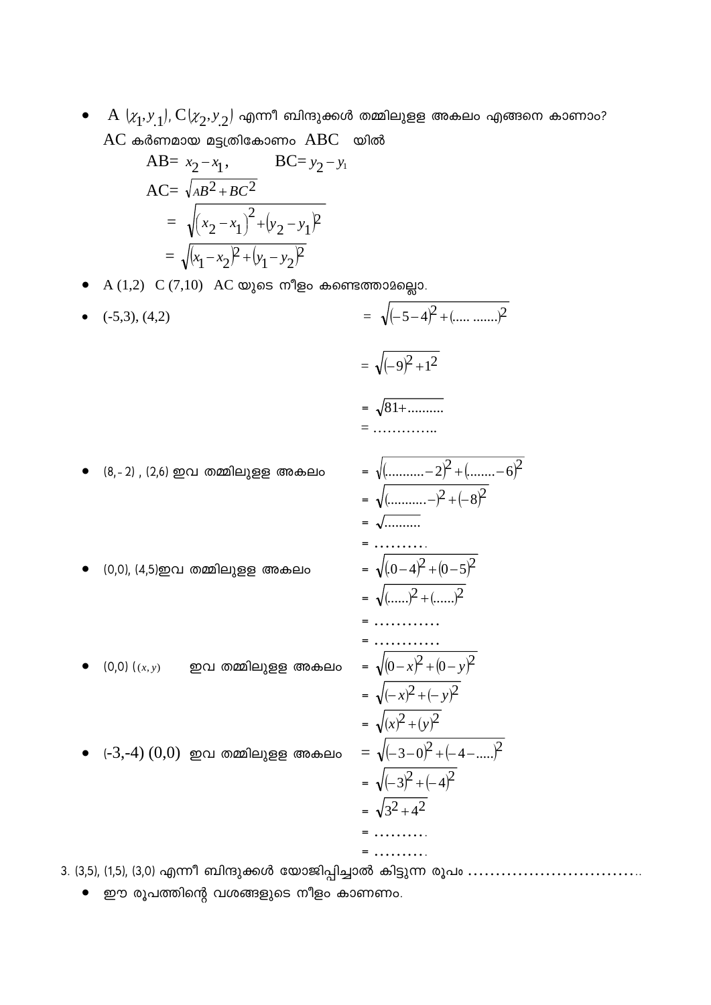$A(x_1, y_1), C(x_2, y_2)$  എന്നീ ബിന്ദുക്കൾ തമ്മിലുളള അകലം എങ്ങനെ കാണാം?  $AC$  കർണമായ മട്ടത്രികോണം  $ABC$  യിൽ

AB= 
$$
x_2-x_1
$$
, BC=  $y_2-y_1$   
AC=  $\sqrt{AB^2 + BC^2}$   
=  $\sqrt{(x_2-x_1)^2 + (y_2-y_1)^2}$   
=  $\sqrt{(x_1-x_2)^2 + (y_1-y_2)^2}$ 

- A  $(1,2)$  C  $(7,10)$  AC യുടെ നീളം കണ്ടെത്താമല്ലൊ.
- =  $\sqrt{(-5-4)^2 + (..........)^2}$  $(-5,3)$ ,  $(4,2)$  $=\sqrt{(-9)^2+1^2}$  $=\sqrt{81+...........}$  $=$  .............. (8,-2) , (2,6) ഇവ തമ്മിലുളള അകലം (0,0), (4,5)ഇവ തമ്മിലുളള അകലം
- $(0,0)$   $((x,y)$  ഈ തമ്മിലുള്ള അകലം
- $\bullet$   $(-3,-4)$   $(0,0)$  ഇവ തമ്മിലുളള അകലം

$$
= \sqrt{(\dots \dots -2)^2 + (\dots -6)^2}
$$
\n
$$
= \sqrt{(\dots \dots -2)^2 + (-8)^2}
$$
\n
$$
= \sqrt{(\dots -2)^2 + (-8)^2}
$$
\n
$$
= \sqrt{(0-4)^2 + (0-5)^2}
$$
\n
$$
= \sqrt{(\dots -2)^2 + (\dots -2)^2}
$$
\n
$$
= \dots \dots \dots
$$
\n
$$
= \sqrt{(0-x)^2 + (0-y)^2}
$$
\n
$$
= \sqrt{(-x)^2 + (-y)^2}
$$
\n
$$
= \sqrt{(-3-0)^2 + (-4-\dots)^2}
$$
\n
$$
= \sqrt{(-3)^2 + (-4)^2}
$$
\n
$$
= \sqrt{3^2 + 4^2}
$$
\n
$$
= \dots \dots \dots
$$
\n
$$
= \dots \dots \dots
$$

3. (3,5), (1,5), (3,0) എന്നീ ബിന്ദുക്കൾ യോജിപ്പിച്ചാൽ കിട്ടുന്ന രൂപം ..................................

ഈ രൂപത്തിന്റെ വശങ്ങളുടെ നീളം കാണണം.  $\bullet$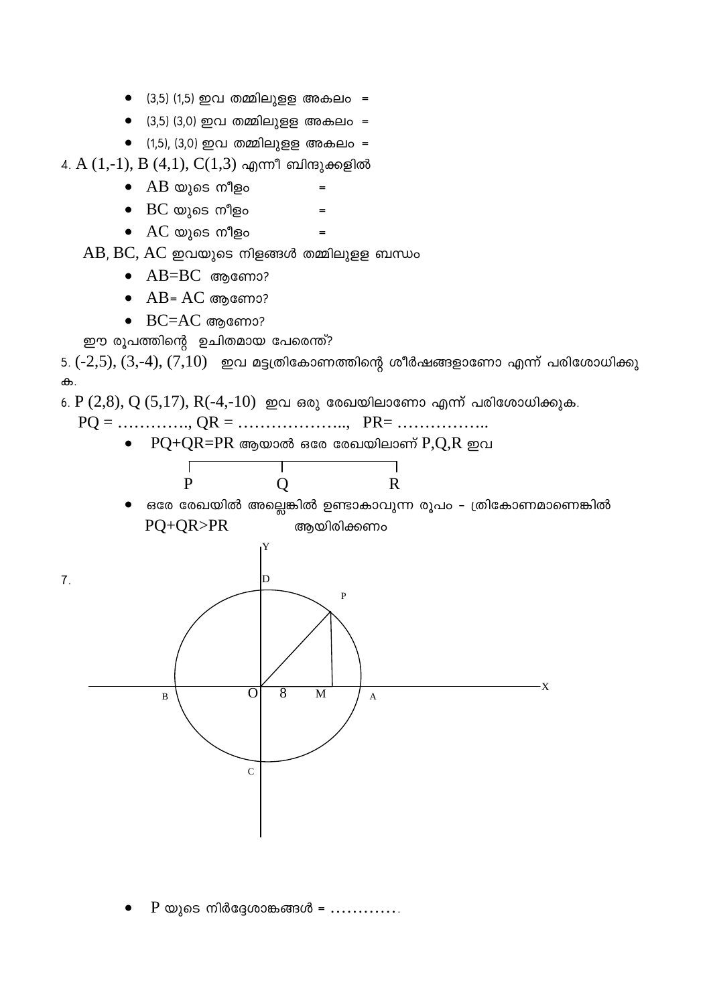- $(3,5)$  (1,5) ഇവ തമ്മിലുള്ള അകലം =
- $(3,5)$  (3,0) ഇവ തമ്മിലുളള അകലം =
- $(1,5)$ , (3,0) ഇവ തമ്മിലുളള അകലം =
- 4. A  $(1,-1)$ , B  $(4,1)$ , C $(1,3)$  എന്നീ ബിന്ദുക്കളിൽ
	- $\bullet$   $AB$  യുടെ നീളം
	- $\bullet$   $\,$  BC യുടെ നീളം
	- $\bullet$  AC യുടെ നീളം

 $AB$ ,  $BC$ ,  $AC$  ഇവയുടെ നിളങ്ങൾ തമ്മിലുളള ബന്ധം

- $\bullet$  AB=BC ആണോ?
- $\bullet$  AB= AC ആണോ?
- $\bullet$  BC=AC അണോ?

ഈ രൂപത്തിന്റെ ഉചിതമായ പേരെന്ത്?

5.  $(-2,5)$ ,  $(3,-4)$ ,  $(7,10)$  ഇവ മട്ടത്രികോണത്തിന്റെ ശീർഷങ്ങളാണോ എന്ന് പരിശോധിക്കു ക.

 $6. P(2,8), Q(5,17), R(-4,-10)$  ഇവ ഒരു രേഖയിലാണോ എന്ന് പരിശോധിക്കുക.

 $=$ 

 $\bullet$  PQ+QR=PR ആയാൽ ഒരേ രേഖയിലാണ്  $P,Q,R$  ഇവ



ഒരേ രേഖയിൽ അല്ലെങ്കിൽ ഉണ്ടാകാവുന്ന രൂപം – ത്രികോണമാണെങ്കിൽ PQ+QR>PR ആയിരിക്കണം



P യുടെ നിർദ്ദേശാങ്കങ്ങൾ =  $\dots$